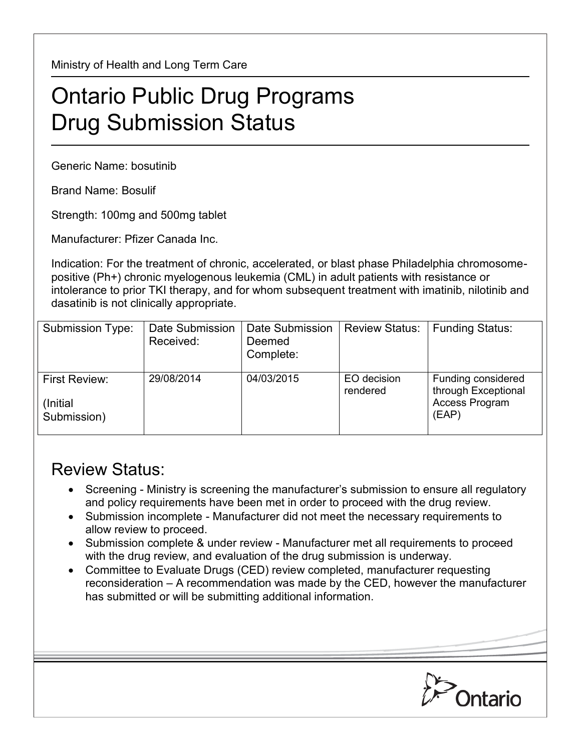Ministry of Health and Long Term Care

## Ontario Public Drug Programs Drug Submission Status

Generic Name: bosutinib

Brand Name: Bosulif

Strength: 100mg and 500mg tablet

Manufacturer: Pfizer Canada Inc.

Indication: For the treatment of chronic, accelerated, or blast phase Philadelphia chromosomepositive (Ph+) chronic myelogenous leukemia (CML) in adult patients with resistance or intolerance to prior TKI therapy, and for whom subsequent treatment with imatinib, nilotinib and dasatinib is not clinically appropriate.

| Submission Type:                          | Date Submission<br>Received: | Date Submission<br>Deemed<br>Complete: | <b>Review Status:</b>   | <b>Funding Status:</b>                                                      |
|-------------------------------------------|------------------------------|----------------------------------------|-------------------------|-----------------------------------------------------------------------------|
| First Review:<br>(Initial)<br>Submission) | 29/08/2014                   | 04/03/2015                             | EO decision<br>rendered | Funding considered<br>through Exceptional<br><b>Access Program</b><br>(EAP) |

## Review Status:

- Screening Ministry is screening the manufacturer's submission to ensure all regulatory and policy requirements have been met in order to proceed with the drug review.
- Submission incomplete Manufacturer did not meet the necessary requirements to allow review to proceed.
- Submission complete & under review Manufacturer met all requirements to proceed with the drug review, and evaluation of the drug submission is underway.
- Committee to Evaluate Drugs (CED) review completed, manufacturer requesting reconsideration – A recommendation was made by the CED, however the manufacturer has submitted or will be submitting additional information.